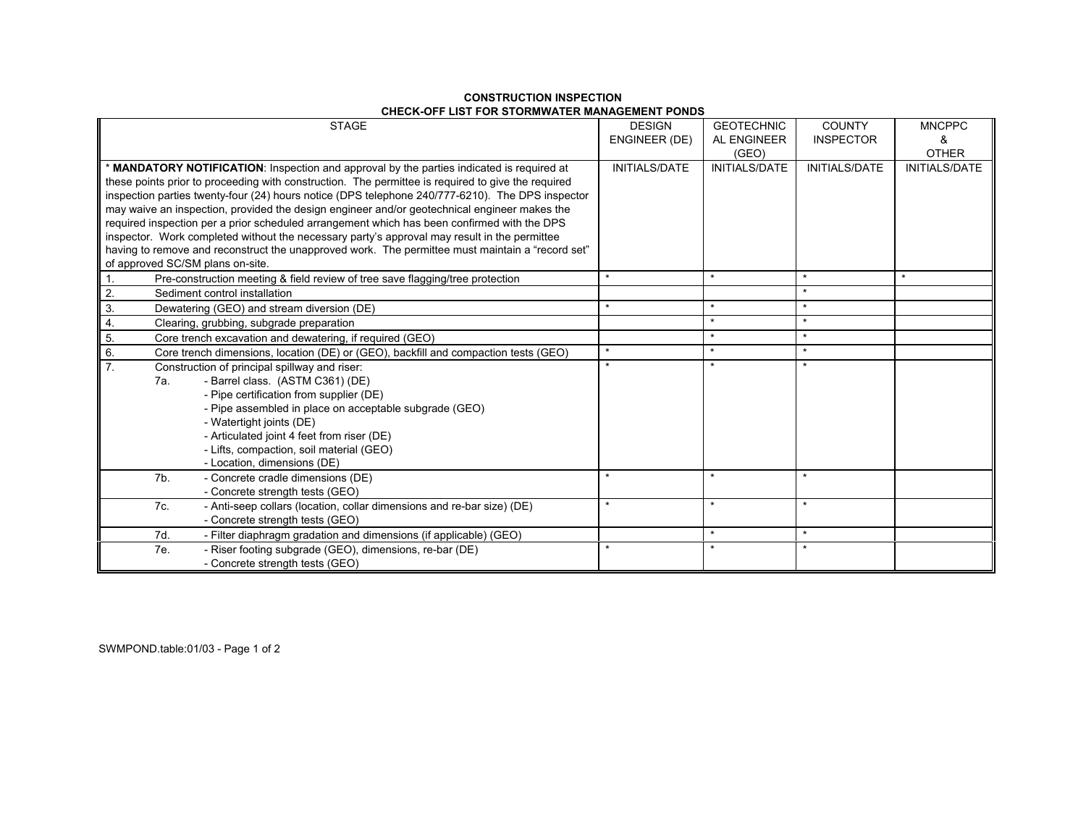| <b>STAGE</b>                                                                                                                                                                                                                                                                                                                                                                                                                                                                                                                                                                                                                                                                                                                               | <b>DESIGN</b><br><b>ENGINEER (DE)</b> | <b>GEOTECHNIC</b><br>AL ENGINEER<br>(GEO) | <b>COUNTY</b><br><b>INSPECTOR</b> | <b>MNCPPC</b><br>&<br><b>OTHER</b> |
|--------------------------------------------------------------------------------------------------------------------------------------------------------------------------------------------------------------------------------------------------------------------------------------------------------------------------------------------------------------------------------------------------------------------------------------------------------------------------------------------------------------------------------------------------------------------------------------------------------------------------------------------------------------------------------------------------------------------------------------------|---------------------------------------|-------------------------------------------|-----------------------------------|------------------------------------|
| * MANDATORY NOTIFICATION: Inspection and approval by the parties indicated is required at<br>these points prior to proceeding with construction. The permittee is required to give the required<br>inspection parties twenty-four (24) hours notice (DPS telephone 240/777-6210). The DPS inspector<br>may waive an inspection, provided the design engineer and/or geotechnical engineer makes the<br>required inspection per a prior scheduled arrangement which has been confirmed with the DPS<br>inspector. Work completed without the necessary party's approval may result in the permittee<br>having to remove and reconstruct the unapproved work. The permittee must maintain a "record set"<br>of approved SC/SM plans on-site. | <b>INITIALS/DATE</b>                  | <b>INITIALS/DATE</b>                      | <b>INITIALS/DATE</b>              | <b>INITIALS/DATE</b>               |
| Pre-construction meeting & field review of tree save flagging/tree protection<br>$\overline{1}$ .                                                                                                                                                                                                                                                                                                                                                                                                                                                                                                                                                                                                                                          | $\star$                               | $\star$                                   | $\star$                           | $\star$                            |
| $\overline{2}$<br>Sediment control installation                                                                                                                                                                                                                                                                                                                                                                                                                                                                                                                                                                                                                                                                                            |                                       |                                           |                                   |                                    |
| $\overline{3}$ .<br>Dewatering (GEO) and stream diversion (DE)                                                                                                                                                                                                                                                                                                                                                                                                                                                                                                                                                                                                                                                                             | $\star$                               | $\star$                                   | $\star$                           |                                    |
| 4.<br>Clearing, grubbing, subgrade preparation                                                                                                                                                                                                                                                                                                                                                                                                                                                                                                                                                                                                                                                                                             |                                       | $\star$                                   | $\star$                           |                                    |
| $\overline{5}$ .<br>Core trench excavation and dewatering, if required (GEO)                                                                                                                                                                                                                                                                                                                                                                                                                                                                                                                                                                                                                                                               |                                       | $\star$                                   | $\star$                           |                                    |
| 6.<br>Core trench dimensions, location (DE) or (GEO), backfill and compaction tests (GEO)                                                                                                                                                                                                                                                                                                                                                                                                                                                                                                                                                                                                                                                  | $\star$                               | $\star$                                   | $\star$                           |                                    |
| $\overline{7}$ .<br>Construction of principal spillway and riser:<br>- Barrel class. (ASTM C361) (DE)<br>7a.<br>- Pipe certification from supplier (DE)<br>- Pipe assembled in place on acceptable subgrade (GEO)<br>- Watertight joints (DE)<br>- Articulated joint 4 feet from riser (DE)<br>- Lifts, compaction, soil material (GEO)<br>- Location, dimensions (DE)                                                                                                                                                                                                                                                                                                                                                                     |                                       |                                           |                                   |                                    |
| 7b.<br>- Concrete cradle dimensions (DE)<br>- Concrete strength tests (GEO)                                                                                                                                                                                                                                                                                                                                                                                                                                                                                                                                                                                                                                                                |                                       |                                           |                                   |                                    |
| 7c.<br>- Anti-seep collars (location, collar dimensions and re-bar size) (DE)<br>- Concrete strength tests (GEO)                                                                                                                                                                                                                                                                                                                                                                                                                                                                                                                                                                                                                           | $\star$                               | $\star$                                   | $\star$                           |                                    |
| 7d.<br>- Filter diaphragm gradation and dimensions (if applicable) (GEO)                                                                                                                                                                                                                                                                                                                                                                                                                                                                                                                                                                                                                                                                   |                                       | $\star$                                   | $\star$                           |                                    |
| 7e.<br>- Riser footing subgrade (GEO), dimensions, re-bar (DE)<br>- Concrete strength tests (GEO)                                                                                                                                                                                                                                                                                                                                                                                                                                                                                                                                                                                                                                          |                                       | $\star$                                   |                                   |                                    |

## **CONSTRUCTION INSPECTION CHECK-OFF LIST FOR STORMWATER MANAGEMENT PONDS**

SWMPOND.table:01/03 - Page 1 of 2